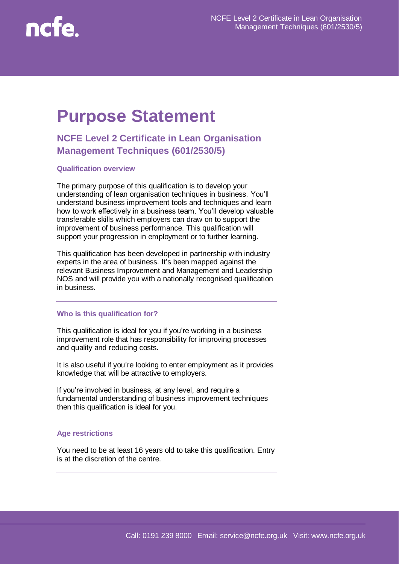

# **Purpose Statement**

# **NCFE Level 2 Certificate in Lean Organisation Management Techniques (601/2530/5)**

# **Qualification overview**

The primary purpose of this qualification is to develop your understanding of lean organisation techniques in business. You'll understand business improvement tools and techniques and learn how to work effectively in a business team. You'll develop valuable transferable skills which employers can draw on to support the improvement of business performance. This qualification will support your progression in employment or to further learning.

This qualification has been developed in partnership with industry experts in the area of business. It's been mapped against the relevant Business Improvement and Management and Leadership NOS and will provide you with a nationally recognised qualification in business.

#### **Who is this qualification for?**

This qualification is ideal for you if you're working in a business improvement role that has responsibility for improving processes and quality and reducing costs.

It is also useful if you're looking to enter employment as it provides knowledge that will be attractive to employers.

If you're involved in business, at any level, and require a fundamental understanding of business improvement techniques then this qualification is ideal for you.

#### **Age restrictions**

You need to be at least 16 years old to take this qualification. Entry is at the discretion of the centre.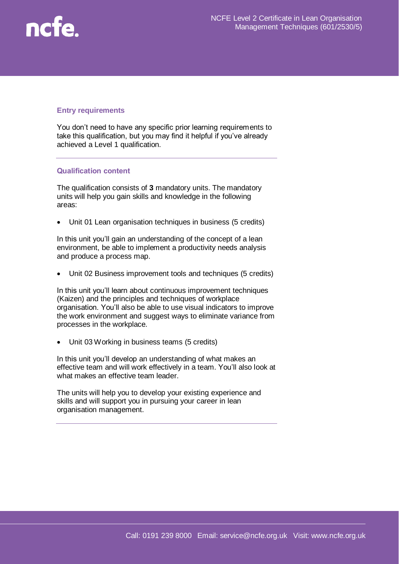

# **Entry requirements**

You don't need to have any specific prior learning requirements to take this qualification, but you may find it helpful if you've already achieved a Level 1 qualification.

# **Qualification content**

The qualification consists of **3** mandatory units. The mandatory units will help you gain skills and knowledge in the following areas:

Unit 01 Lean organisation techniques in business (5 credits)

In this unit you'll gain an understanding of the concept of a lean environment, be able to implement a productivity needs analysis and produce a process map.

Unit 02 Business improvement tools and techniques (5 credits)

In this unit you'll learn about continuous improvement techniques (Kaizen) and the principles and techniques of workplace organisation. You'll also be able to use visual indicators to improve the work environment and suggest ways to eliminate variance from processes in the workplace.

Unit 03 Working in business teams (5 credits)

In this unit you'll develop an understanding of what makes an effective team and will work effectively in a team. You'll also look at what makes an effective team leader.

The units will help you to develop your existing experience and skills and will support you in pursuing your career in lean organisation management.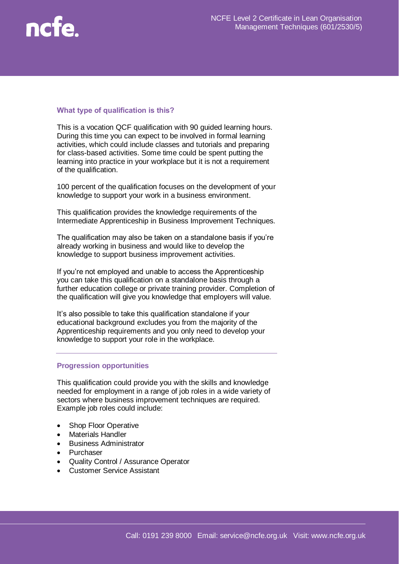

## **What type of qualification is this?**

This is a vocation QCF qualification with 90 guided learning hours. During this time you can expect to be involved in formal learning activities, which could include classes and tutorials and preparing for class-based activities. Some time could be spent putting the learning into practice in your workplace but it is not a requirement of the qualification.

100 percent of the qualification focuses on the development of your knowledge to support your work in a business environment.

This qualification provides the knowledge requirements of the Intermediate Apprenticeship in Business Improvement Techniques.

The qualification may also be taken on a standalone basis if you're already working in business and would like to develop the knowledge to support business improvement activities.

If you're not employed and unable to access the Apprenticeship you can take this qualification on a standalone basis through a further education college or private training provider. Completion of the qualification will give you knowledge that employers will value.

It's also possible to take this qualification standalone if your educational background excludes you from the majority of the Apprenticeship requirements and you only need to develop your knowledge to support your role in the workplace.

## **Progression opportunities**

This qualification could provide you with the skills and knowledge needed for employment in a range of job roles in a wide variety of sectors where business improvement techniques are required. Example job roles could include:

- Shop Floor Operative
- Materials Handler
- Business Administrator
- Purchaser
- Quality Control / Assurance Operator
- Customer Service Assistant